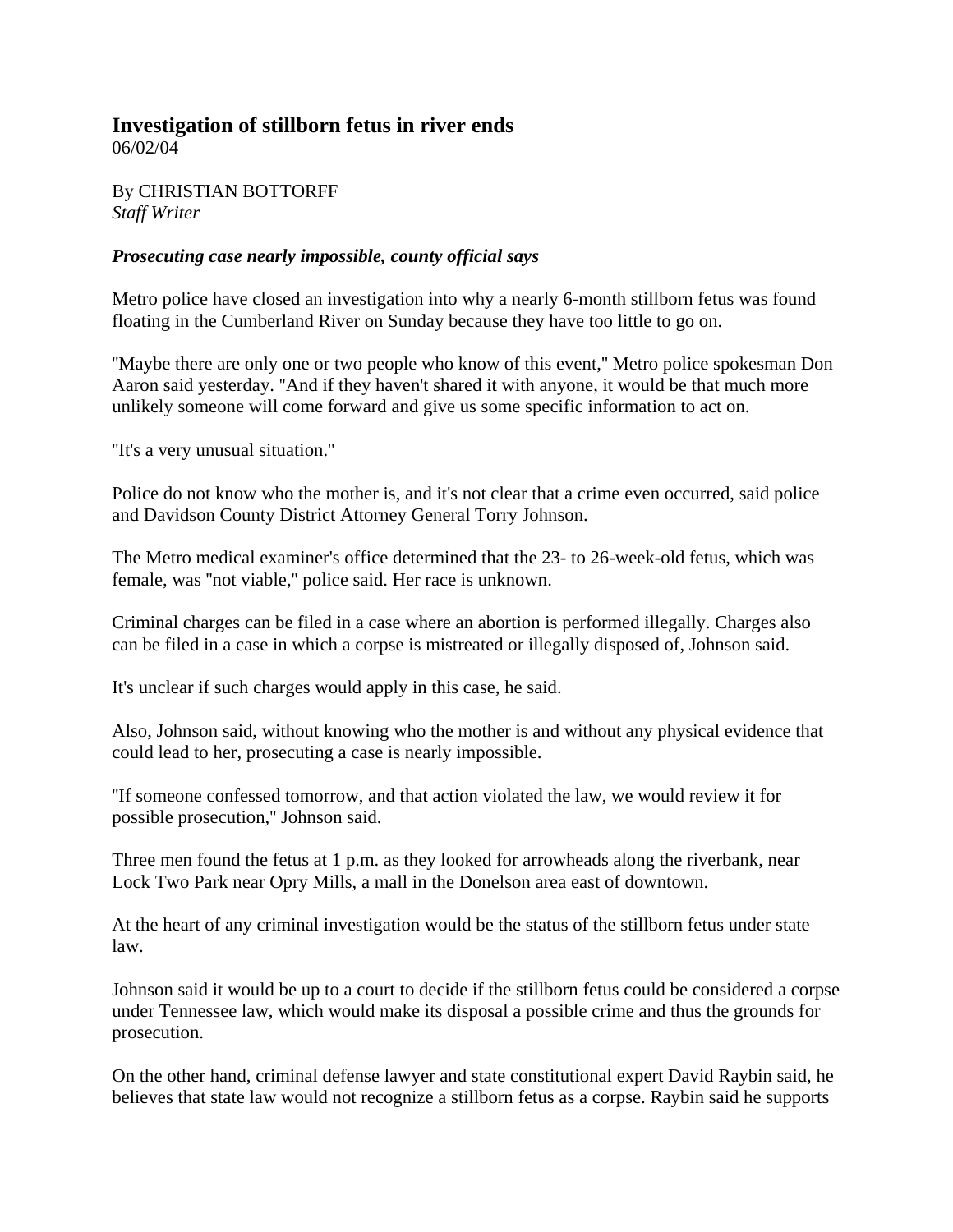## **Investigation of stillborn fetus in river ends**

06/02/04

By CHRISTIAN BOTTORFF *Staff Writer*

## *Prosecuting case nearly impossible, county official says*

Metro police have closed an investigation into why a nearly 6-month stillborn fetus was found floating in the Cumberland River on Sunday because they have too little to go on.

''Maybe there are only one or two people who know of this event,'' Metro police spokesman Don Aaron said yesterday. ''And if they haven't shared it with anyone, it would be that much more unlikely someone will come forward and give us some specific information to act on.

''It's a very unusual situation.''

Police do not know who the mother is, and it's not clear that a crime even occurred, said police and Davidson County District Attorney General Torry Johnson.

The Metro medical examiner's office determined that the 23- to 26-week-old fetus, which was female, was ''not viable,'' police said. Her race is unknown.

Criminal charges can be filed in a case where an abortion is performed illegally. Charges also can be filed in a case in which a corpse is mistreated or illegally disposed of, Johnson said.

It's unclear if such charges would apply in this case, he said.

Also, Johnson said, without knowing who the mother is and without any physical evidence that could lead to her, prosecuting a case is nearly impossible.

''If someone confessed tomorrow, and that action violated the law, we would review it for possible prosecution,'' Johnson said.

Three men found the fetus at 1 p.m. as they looked for arrowheads along the riverbank, near Lock Two Park near Opry Mills, a mall in the Donelson area east of downtown.

At the heart of any criminal investigation would be the status of the stillborn fetus under state law.

Johnson said it would be up to a court to decide if the stillborn fetus could be considered a corpse under Tennessee law, which would make its disposal a possible crime and thus the grounds for prosecution.

On the other hand, criminal defense lawyer and state constitutional expert David Raybin said, he believes that state law would not recognize a stillborn fetus as a corpse. Raybin said he supports